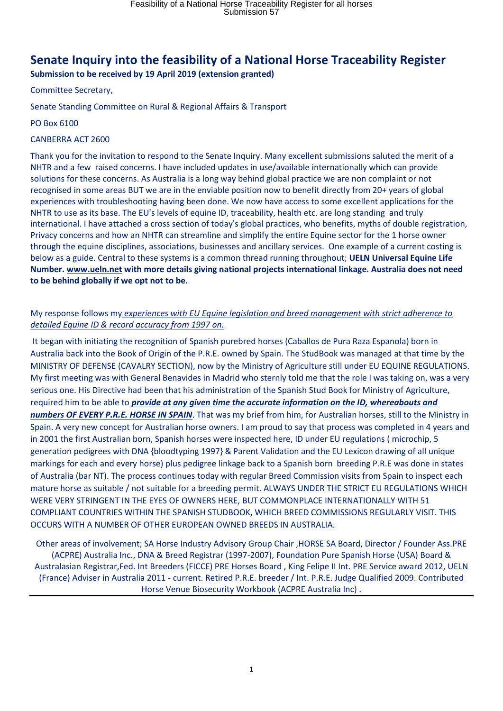# **Senate Inquiry into the feasibility of a National Horse Traceability Register**

**Submission to be received by 19 April 2019 (extension granted)** 

Committee Secretary,

Senate Standing Committee on Rural & Regional Affairs & Transport

PO Box 6100

#### CANBERRA ACT 2600

Thank you for the invitation to respond to the Senate Inquiry. Many excellent submissions saluted the merit of a NHTR and a few raised concerns. I have included updates in use/available internationally which can provide solutions for these concerns. As Australia is a long way behind global practice we are non complaint or not recognised in some areas BUT we are in the enviable position now to benefit directly from 20+ years of global experiences with troubleshooting having been done. We now have access to some excellent applications for the NHTR to use as its base. The EU's levels of equine ID, traceability, health etc. are long standing and truly international. I have attached a cross section of today's global practices, who benefits, myths of double registration, Privacy concerns and how an NHTR can streamline and simplify the entire Equine sector for the 1 horse owner through the equine disciplines, associations, businesses and ancillary services. One example of a current costing is below as a guide. Central to these systems is a common thread running throughout; **UELN Universal Equine Life Number. www.ueln.net with more details giving national projects international linkage. Australia does not need to be behind globally if we opt not to be.**

### My response follows my *experiences with EU Equine legislation and breed management with strict adherence to detailed Equine ID & record accuracy from 1997 on.*

 It began with initiating the recognition of Spanish purebred horses (Caballos de Pura Raza Espanola) born in Australia back into the Book of Origin of the P.R.E. owned by Spain. The StudBook was managed at that time by the MINISTRY OF DEFENSE (CAVALRY SECTION), now by the Ministry of Agriculture still under EU EQUINE REGULATIONS. My first meeting was with General Benavides in Madrid who sternly told me that the role I was taking on, was a very serious one. His Directive had been that his administration of the Spanish Stud Book for Ministry of Agriculture, required him to be able to *provide at any given time the accurate information on the ID, whereabouts and numbers OF EVERY P.R.E. HORSE IN SPAIN*. That was my brief from him, for Australian horses, still to the Ministry in Spain. A very new concept for Australian horse owners. I am proud to say that process was completed in 4 years and in 2001 the first Australian born, Spanish horses were inspected here, ID under EU regulations ( microchip, 5 generation pedigrees with DNA {bloodtyping 1997} & Parent Validation and the EU Lexicon drawing of all unique markings for each and every horse) plus pedigree linkage back to a Spanish born breeding P.R.E was done in states of Australia (bar NT). The process continues today with regular Breed Commission visits from Spain to inspect each mature horse as suitable / not suitable for a breeding permit. ALWAYS UNDER THE STRICT EU REGULATIONS WHICH WERE VERY STRINGENT IN THE EYES OF OWNERS HERE, BUT COMMONPLACE INTERNATIONALLY WITH 51 COMPLIANT COUNTRIES WITHIN THE SPANISH STUDBOOK, WHICH BREED COMMISSIONS REGULARLY VISIT. THIS OCCURS WITH A NUMBER OF OTHER EUROPEAN OWNED BREEDS IN AUSTRALIA.

Other areas of involvement; SA Horse Industry Advisory Group Chair ,HORSE SA Board, Director / Founder Ass.PRE (ACPRE) Australia Inc., DNA & Breed Registrar (1997-2007), Foundation Pure Spanish Horse (USA) Board & Australasian Registrar,Fed. Int Breeders (FICCE) PRE Horses Board , King Felipe II Int. PRE Service award 2012, UELN (France) Adviser in Australia 2011 - current. Retired P.R.E. breeder / Int. P.R.E. Judge Qualified 2009. Contributed Horse Venue Biosecurity Workbook (ACPRE Australia Inc) .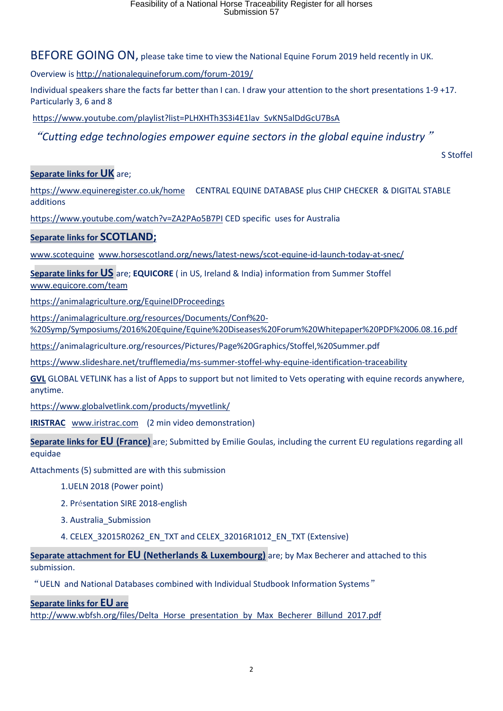BEFORE GOING ON, please take time to view the National Equine Forum 2019 held recently in UK.

Overview is http://nationalequineforum.com/forum-2019/

Individual speakers share the facts far better than I can. I draw your attention to the short presentations 1-9 +17. Particularly 3, 6 and 8

https://www.youtube.com/playlist?list=PLHXHTh3S3i4E1lav SvKN5alDdGcU7BsA

"*Cutting edge technologies empower equine sectors in the global equine industry*"

S Stoffel

### **Separate links for UK** are;

https://www.equineregister.co.uk/home CENTRAL EQUINE DATABASE plus CHIP CHECKER & DIGITAL STABLE additions

https://www.youtube.com/watch?v=ZA2PAo5B7PI CED specific uses for Australia

### **Separate links for SCOTLAND;**

www.scotequine www.horsescotland.org/news/latest-news/scot-equine-id-launch-today-at-snec/

**Separate links for US** are; **EQUICORE** ( in US, Ireland & India) information from Summer Stoffel www.equicore.com/team

https://animalagriculture.org/EquineIDProceedings

https://animalagriculture.org/resources/Documents/Conf%20- %20Symp/Symposiums/2016%20Equine/Equine%20Diseases%20Forum%20Whitepaper%20PDF%2006.08.16.pdf

https://animalagriculture.org/resources/Pictures/Page%20Graphics/Stoffel,%20Summer.pdf

https://www.slideshare.net/trufflemedia/ms-summer-stoffel-why-equine-identification-traceability

**GVL** GLOBAL VETLINK has a list of Apps to support but not limited to Vets operating with equine records anywhere, anytime.

https://www.globalvetlink.com/products/myvetlink/

**IRISTRAC** www.iristrac.com (2 min video demonstration)

**Separate links for EU (France)** are; Submitted by Emilie Goulas, including the current EU regulations regarding all equidae

Attachments (5) submitted are with this submission

1.UELN 2018 (Power point)

2. Présentation SIRE 2018-english

3. Australia\_Submission

4. CELEX\_32015R0262\_EN\_TXT and CELEX\_32016R1012\_EN\_TXT (Extensive)

**Separate attachment for EU (Netherlands & Luxembourg)** are; by Max Becherer and attached to this submission.

"UELN and National Databases combined with Individual Studbook Information Systems"

**Separate links for EU are**

http://www.wbfsh.org/files/Delta Horse presentation by Max Becherer Billund 2017.pdf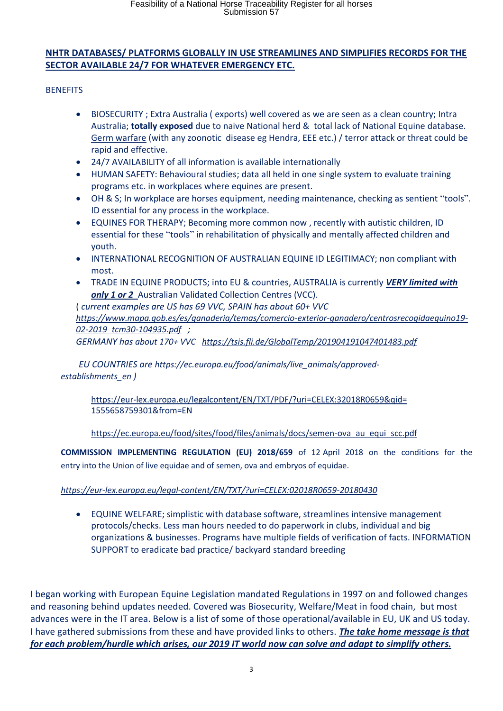## **NHTR DATABASES/ PLATFORMS GLOBALLY IN USE STREAMLINES AND SIMPLIFIES RECORDS FOR THE SECTOR AVAILABLE 24/7 FOR WHATEVER EMERGENCY ETC.**

**BENEFITS** 

- BIOSECURITY ; Extra Australia ( exports) well covered as we are seen as a clean country; Intra Australia; **totally exposed** due to naive National herd & total lack of National Equine database. Germ warfare (with any zoonotic disease eg Hendra, EEE etc.) / terror attack or threat could be rapid and effective.
- 24/7 AVAILABILITY of all information is available internationally
- HUMAN SAFETY: Behavioural studies; data all held in one single system to evaluate training programs etc. in workplaces where equines are present.
- OH & S; In workplace are horses equipment, needing maintenance, checking as sentient "tools". ID essential for any process in the workplace.
- EQUINES FOR THERAPY; Becoming more common now , recently with autistic children, ID essential for these "tools" in rehabilitation of physically and mentally affected children and youth.
- INTERNATIONAL RECOGNITION OF AUSTRALIAN EQUINE ID LEGITIMACY; non compliant with most.
- TRADE IN EQUINE PRODUCTS; into EU & countries, AUSTRALIA is currently *VERY limited with*  only 1 or 2 Australian Validated Collection Centres (VCC).

( *current examples are US has 69 VVC, SPAIN has about 60+ VVC https://www.mapa.gob.es/es/ganaderia/temas/comercio-exterior-ganadero/centrosrecogidaequino19- 02-2019 tcm30-104935.pdf ; GERMANY has about 170+ VVC https://tsis.fli.de/GlobalTemp/201904191047401483.pdf*

 *EU COUNTRIES are https://ec.europa.eu/food/animals/live\_animals/approved establishments\_en )* 

https://eur-lex.europa.eu/legalcontent/EN/TXT/PDF/?uri=CELEX:32018R0659&qid= 1555658759301&from=EN

https://ec.europa.eu/food/sites/food/files/animals/docs/semen-ova au equi scc.pdf

**COMMISSION IMPLEMENTING REGULATION (EU) 2018/659** of 12 April 2018 on the conditions for the entry into the Union of live equidae and of semen, ova and embryos of equidae.

## *https://eur-lex.europa.eu/legal-content/EN/TXT/?uri=CELEX:02018R0659-20180430*

 EQUINE WELFARE; simplistic with database software, streamlines intensive management protocols/checks. Less man hours needed to do paperwork in clubs, individual and big organizations & businesses. Programs have multiple fields of verification of facts. INFORMATION SUPPORT to eradicate bad practice/ backyard standard breeding

I began working with European Equine Legislation mandated Regulations in 1997 on and followed changes and reasoning behind updates needed. Covered was Biosecurity, Welfare/Meat in food chain, but most advances were in the IT area. Below is a list of some of those operational/available in EU, UK and US today. I have gathered submissions from these and have provided links to others. *The take home message is that for each problem/hurdle which arises, our 2019 IT world now can solve and adapt to simplify others.*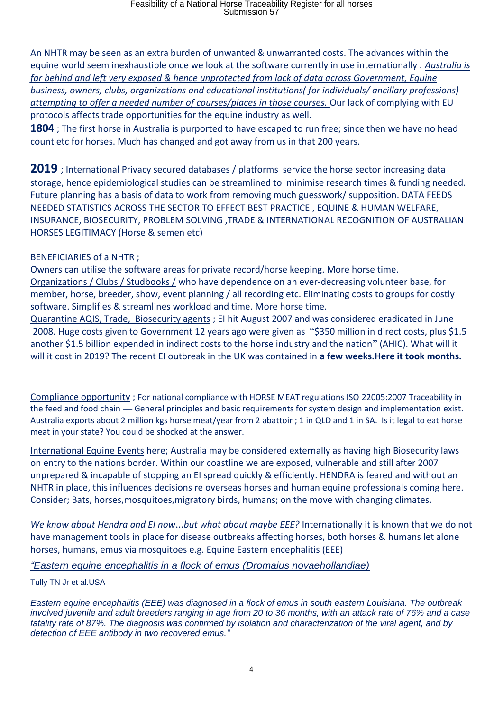An NHTR may be seen as an extra burden of unwanted & unwarranted costs. The advances within the equine world seem inexhaustible once we look at the software currently in use internationally . *Australia is far behind and left very exposed & hence unprotected from lack of data across Government, Equine business, owners, clubs, organizations and educational institutions( for individuals/ ancillary professions) attempting to offer a needed number of courses/places in those courses.* Our lack of complying with EU protocols affects trade opportunities for the equine industry as well.

**1804** ; The first horse in Australia is purported to have escaped to run free; since then we have no head count etc for horses. Much has changed and got away from us in that 200 years.

**2019** ; International Privacy secured databases / platforms service the horse sector increasing data storage, hence epidemiological studies can be streamlined to minimise research times & funding needed. Future planning has a basis of data to work from removing much guesswork/ supposition. DATA FEEDS NEEDED STATISTICS ACROSS THE SECTOR TO EFFECT BEST PRACTICE , EQUINE & HUMAN WELFARE, INSURANCE, BIOSECURITY, PROBLEM SOLVING ,TRADE & INTERNATIONAL RECOGNITION OF AUSTRALIAN HORSES LEGITIMACY (Horse & semen etc)

## BENEFICIARIES of a NHTR ;

Owners can utilise the software areas for private record/horse keeping. More horse time. Organizations / Clubs / Studbooks / who have dependence on an ever-decreasing volunteer base, for member, horse, breeder, show, event planning / all recording etc. Eliminating costs to groups for costly software. Simplifies & streamlines workload and time. More horse time.

 Quarantine AQIS, Trade, Biosecurity agents ; EI hit August 2007 and was considered eradicated in June 2008. Huge costs given to Government 12 years ago were given as "\$350 million in direct costs, plus \$1.5 another \$1.5 billion expended in indirect costs to the horse industry and the nation" (AHIC). What will it will it cost in 2019? The recent EI outbreak in the UK was contained in **a few weeks.Here it took months.**

Compliance opportunity ; For national compliance with HORSE MEAT regulations ISO 22005:2007 Traceability in the feed and food chain — General principles and basic requirements for system design and implementation exist. Australia exports about 2 million kgs horse meat/year from 2 abattoir ; 1 in QLD and 1 in SA. Is it legal to eat horse meat in your state? You could be shocked at the answer.

International Equine Events here; Australia may be considered externally as having high Biosecurity laws on entry to the nations border. Within our coastline we are exposed, vulnerable and still after 2007 unprepared & incapable of stopping an EI spread quickly & efficiently. HENDRA is feared and without an NHTR in place, this influences decisions re overseas horses and human equine professionals coming here. Consider; Bats, horses,mosquitoes,migratory birds, humans; on the move with changing climates.

*We know about Hendra and EI now…but what about maybe EEE?* Internationally it is known that we do not have management tools in place for disease outbreaks affecting horses, both horses & humans let alone horses, humans, emus via mosquitoes e.g. Equine Eastern encephalitis (EEE)

*"Eastern equine encephalitis in a flock of emus (Dromaius novaehollandiae)*

Tully TN Jr et al.USA

*Eastern equine encephalitis (EEE) was diagnosed in a flock of emus in south eastern Louisiana. The outbreak involved juvenile and adult breeders ranging in age from 20 to 36 months, with an attack rate of 76% and a case fatality rate of 87%. The diagnosis was confirmed by isolation and characterization of the viral agent, and by detection of EEE antibody in two recovered emus."*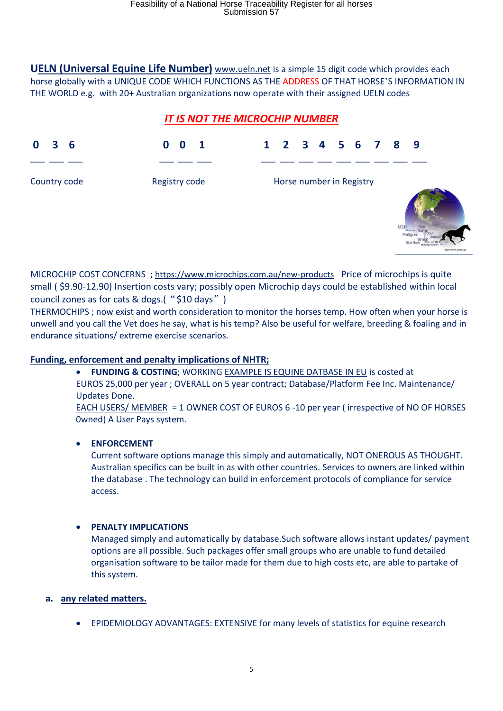**UELN (Universal Equine Life Number)** www.ueln.net is a simple 15 digit code which provides each horse globally with a UNIQUE CODE WHICH FUNCTIONS AS THE ADDRESS OF THAT HORSE'S INFORMATION IN THE WORLD e.g. with 20+ Australian organizations now operate with their assigned UELN codes

# *IT IS NOT THE MICROCHIP NUMBER*

| 3<br>- 6<br>$\bf{0}$ | $\overline{\mathbf{1}}$<br>0<br>$\mathbf{0}$ | 1 2 3 4 5 6 7 8 9        |                                                                        |
|----------------------|----------------------------------------------|--------------------------|------------------------------------------------------------------------|
|                      |                                              |                          |                                                                        |
| Country code         | Registry code                                | Horse number in Registry | <b>UELN</b><br><b>Sex</b><br>Name<br>FET Namber<br>Pediare<br>Stud Boo |

MICROCHIP COST CONCERNS ; https://www.microchips.com.au/new-products Price of microchips is quite small ( \$9.90-12.90) Insertion costs vary; possibly open Microchip days could be established within local council zones as for cats & dogs.( "\$10 days")

THERMOCHIPS ; now exist and worth consideration to monitor the horses temp. How often when your horse is unwell and you call the Vet does he say, what is his temp? Also be useful for welfare, breeding & foaling and in endurance situations/ extreme exercise scenarios.

# **Funding, enforcement and penalty implications of NHTR;**

 **FUNDING & COSTING**; WORKING EXAMPLE IS EQUINE DATBASE IN EU is costed at EUROS 25,000 per year ; OVERALL on 5 year contract; Database/Platform Fee Inc. Maintenance/ Updates Done.

EACH USERS/ MEMBER = 1 OWNER COST OF EUROS 6 -10 per year ( irrespective of NO OF HORSES 0wned) A User Pays system.

# **ENFORCEMENT**

Current software options manage this simply and automatically, NOT ONEROUS AS THOUGHT. Australian specifics can be built in as with other countries. Services to owners are linked within the database . The technology can build in enforcement protocols of compliance for service access.

# **PENALTY IMPLICATIONS**

Managed simply and automatically by database.Such software allows instant updates/ payment options are all possible. Such packages offer small groups who are unable to fund detailed organisation software to be tailor made for them due to high costs etc, are able to partake of this system.

## **a. any related matters.**

EPIDEMIOLOGY ADVANTAGES: EXTENSIVE for many levels of statistics for equine research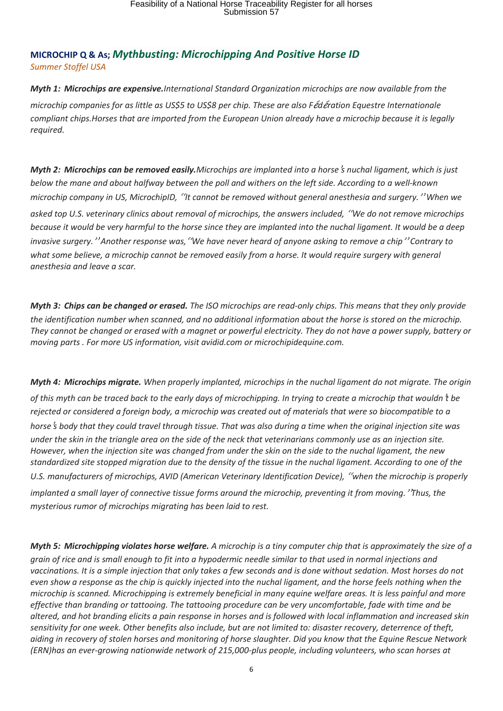## **MICROCHIP Q & As;** *Mythbusting: Microchipping And Positive Horse ID Summer Stoffel USA*

*Myth 1: Microchips are expensive.International Standard Organization microchips are now available from the microchip companies for as little as US\$5 to US\$8 per chip. These are also F*é*d*é*ration Equestre Internationale compliant chips.Horses that are imported from the European Union already have a microchip because it is legally required.* 

*Myth 2: Microchips can be removed easily.Microchips are implanted into a horse*'*s nuchal ligament, which is just below the mane and about halfway between the poll and withers on the left side. According to a well-known microchip company in US, MicrochipID,* "*It cannot be removed without general anesthesia and surgery.*" *When we asked top U.S. veterinary clinics about removal of microchips, the answers included,* "*We do not remove microchips because it would be very harmful to the horse since they are implanted into the nuchal ligament. It would be a deep invasive surgery.*" *Another response was,*"*We have never heard of anyone asking to remove a chip*" *Contrary to what some believe, a microchip cannot be removed easily from a horse. It would require surgery with general anesthesia and leave a scar.*

*Myth 3: Chips can be changed or erased. The ISO microchips are read-only chips. This means that they only provide the identification number when scanned, and no additional information about the horse is stored on the microchip. They cannot be changed or erased with a magnet or powerful electricity. They do not have a power supply, battery or moving parts . For more US information, visit avidid.com or microchipidequine.com.*

*Myth 4: Microchips migrate. When properly implanted, microchips in the nuchal ligament do not migrate. The origin of this myth can be traced back to the early days of microchipping. In trying to create a microchip that wouldn*'*t be rejected or considered a foreign body, a microchip was created out of materials that were so biocompatible to a horse*'*s body that they could travel through tissue. That was also during a time when the original injection site was under the skin in the triangle area on the side of the neck that veterinarians commonly use as an injection site. However, when the injection site was changed from under the skin on the side to the nuchal ligament, the new standardized site stopped migration due to the density of the tissue in the nuchal ligament. According to one of the U.S. manufacturers of microchips, AVID (American Veterinary Identification Device),* "*when the microchip is properly implanted a small layer of connective tissue forms around the microchip, preventing it from moving.*"*Thus, the mysterious rumor of microchips migrating has been laid to rest.*

*Myth 5: Microchipping violates horse welfare. A microchip is a tiny computer chip that is approximately the size of a grain of rice and is small enough to fit into a hypodermic needle similar to that used in normal injections and vaccinations. It is a simple injection that only takes a few seconds and is done without sedation. Most horses do not even show a response as the chip is quickly injected into the nuchal ligament, and the horse feels nothing when the microchip is scanned. Microchipping is extremely beneficial in many equine welfare areas. It is less painful and more effective than branding or tattooing. The tattooing procedure can be very uncomfortable, fade with time and be altered, and hot branding elicits a pain response in horses and is followed with local inflammation and increased skin sensitivity for one week. Other benefits also include, but are not limited to: disaster recovery, deterrence of theft, aiding in recovery of stolen horses and monitoring of horse slaughter. Did you know that the Equine Rescue Network (ERN)has an ever-growing nationwide network of 215,000-plus people, including volunteers, who scan horses at*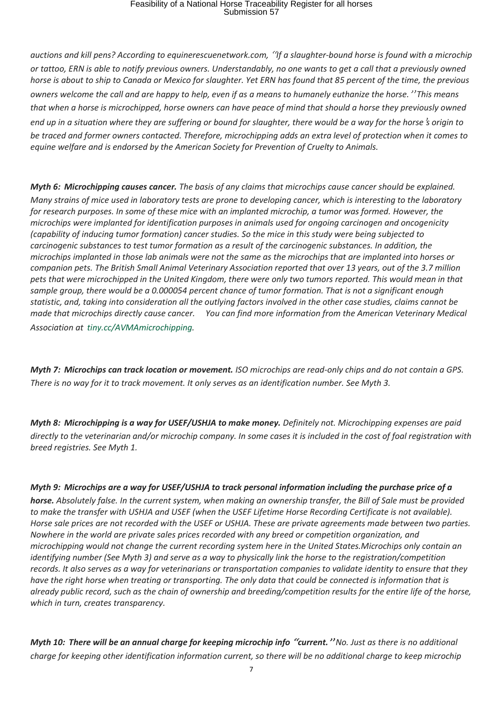# Feasibility of a National Horse Traceability Register for all horses Submission 57

*auctions and kill pens? According to equinerescuenetwork.com,* "*If a slaughter-bound horse is found with a microchip or tattoo, ERN is able to notify previous owners. Understandably, no one wants to get a call that a previously owned horse is about to ship to Canada or Mexico for slaughter. Yet ERN has found that 85 percent of the time, the previous owners welcome the call and are happy to help, even if as a means to humanely euthanize the horse.*" *This means that when a horse is microchipped, horse owners can have peace of mind that should a horse they previously owned end up in a situation where they are suffering or bound for slaughter, there would be a way for the horse*'*s origin to be traced and former owners contacted. Therefore, microchipping adds an extra level of protection when it comes to equine welfare and is endorsed by the American Society for Prevention of Cruelty to Animals.*

*Myth 6: Microchipping causes cancer. The basis of any claims that microchips cause cancer should be explained. Many strains of mice used in laboratory tests are prone to developing cancer, which is interesting to the laboratory for research purposes. In some of these mice with an implanted microchip, a tumor was formed. However, the microchips were implanted for identification purposes in animals used for ongoing carcinogen and oncogenicity (capability of inducing tumor formation) cancer studies. So the mice in this study were being subjected to carcinogenic substances to test tumor formation as a result of the carcinogenic substances. In addition, the microchips implanted in those lab animals were not the same as the microchips that are implanted into horses or companion pets. The British Small Animal Veterinary Association reported that over 13 years, out of the 3.7 million pets that were microchipped in the United Kingdom, there were only two tumors reported. This would mean in that sample group, there would be a 0.000054 percent chance of tumor formation. That is not a significant enough statistic, and, taking into consideration all the outlying factors involved in the other case studies, claims cannot be made that microchips directly cause cancer. You can find more information from the American Veterinary Medical Association at tiny.cc/AVMAmicrochipping.*

*Myth 7: Microchips can track location or movement. ISO microchips are read-only chips and do not contain a GPS. There is no way for it to track movement. It only serves as an identification number. See Myth 3.*

*Myth 8: Microchipping is a way for USEF/USHJA to make money. Definitely not. Microchipping expenses are paid directly to the veterinarian and/or microchip company. In some cases it is included in the cost of foal registration with breed registries. See Myth 1.*

#### *Myth 9: Microchips are a way for USEF/USHJA to track personal information including the purchase price of a*

*horse. Absolutely false. In the current system, when making an ownership transfer, the Bill of Sale must be provided to make the transfer with USHJA and USEF (when the USEF Lifetime Horse Recording Certificate is not available). Horse sale prices are not recorded with the USEF or USHJA. These are private agreements made between two parties. Nowhere in the world are private sales prices recorded with any breed or competition organization, and microchipping would not change the current recording system here in the United States.Microchips only contain an identifying number (See Myth 3) and serve as a way to physically link the horse to the registration/competition records. It also serves as a way for veterinarians or transportation companies to validate identity to ensure that they have the right horse when treating or transporting. The only data that could be connected is information that is already public record, such as the chain of ownership and breeding/competition results for the entire life of the horse, which in turn, creates transparency.*

*Myth 10: There will be an annual charge for keeping microchip info* **"***current.***"** *No. Just as there is no additional charge for keeping other identification information current, so there will be no additional charge to keep microchip*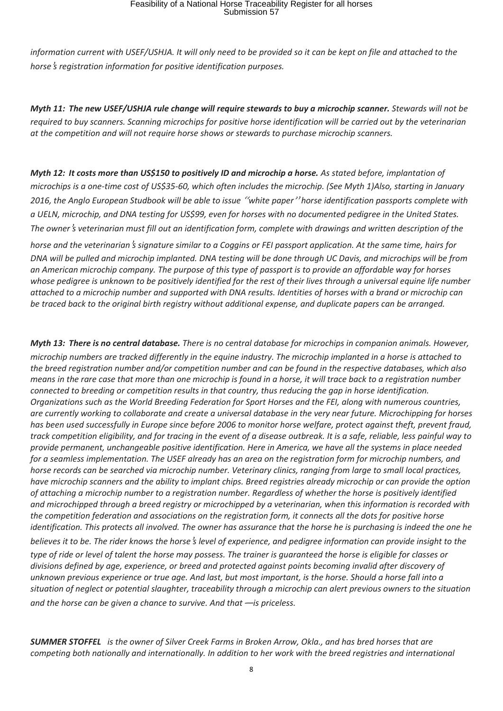# Feasibility of a National Horse Traceability Register for all horses Submission 57

*information current with USEF/USHJA. It will only need to be provided so it can be kept on file and attached to the horse*'*s registration information for positive identification purposes.*

*Myth 11: The new USEF/USHJA rule change will require stewards to buy a microchip scanner. Stewards will not be required to buy scanners. Scanning microchips for positive horse identification will be carried out by the veterinarian at the competition and will not require horse shows or stewards to purchase microchip scanners.*

*Myth 12: It costs more than US\$150 to positively ID and microchip a horse. As stated before, implantation of microchips is a one-time cost of US\$35-60, which often includes the microchip. (See Myth 1)Also, starting in January 2016, the Anglo European Studbook will be able to issue* "*white paper*" *horse identification passports complete with a UELN, microchip, and DNA testing for US\$99, even for horses with no documented pedigree in the United States. The owner*'*s veterinarian must fill out an identification form, complete with drawings and written description of the* 

*horse and the veterinarian*'*s signature similar to a Coggins or FEI passport application. At the same time, hairs for DNA will be pulled and microchip implanted. DNA testing will be done through UC Davis, and microchips will be from an American microchip company. The purpose of this type of passport is to provide an affordable way for horses whose pedigree is unknown to be positively identified for the rest of their lives through a universal equine life number attached to a microchip number and supported with DNA results. Identities of horses with a brand or microchip can be traced back to the original birth registry without additional expense, and duplicate papers can be arranged.*

*Myth 13: There is no central database. There is no central database for microchips in companion animals. However, microchip numbers are tracked differently in the equine industry. The microchip implanted in a horse is attached to the breed registration number and/or competition number and can be found in the respective databases, which also means in the rare case that more than one microchip is found in a horse, it will trace back to a registration number connected to breeding or competition results in that country, thus reducing the gap in horse identification. Organizations such as the World Breeding Federation for Sport Horses and the FEI, along with numerous countries, are currently working to collaborate and create a universal database in the very near future. Microchipping for horses has been used successfully in Europe since before 2006 to monitor horse welfare, protect against theft, prevent fraud, track competition eligibility, and for tracing in the event of a disease outbreak. It is a safe, reliable, less painful way to provide permanent, unchangeable positive identification. Here in America, we have all the systems in place needed for a seamless implementation. The USEF already has an area on the registration form for microchip numbers, and horse records can be searched via microchip number. Veterinary clinics, ranging from large to small local practices, have microchip scanners and the ability to implant chips. Breed registries already microchip or can provide the option of attaching a microchip number to a registration number. Regardless of whether the horse is positively identified and microchipped through a breed registry or microchipped by a veterinarian, when this information is recorded with the competition federation and associations on the registration form, it connects all the dots for positive horse identification. This protects all involved. The owner has assurance that the horse he is purchasing is indeed the one he believes it to be. The rider knows the horse*'*s level of experience, and pedigree information can provide insight to the type of ride or level of talent the horse may possess. The trainer is guaranteed the horse is eligible for classes or divisions defined by age, experience, or breed and protected against points becoming invalid after discovery of unknown previous experience or true age. And last, but most important, is the horse. Should a horse fall into a situation of neglect or potential slaughter, traceability through a microchip can alert previous owners to the situation* 

*and the horse can be given a chance to survive. And that*—*is priceless.*

*SUMMER STOFFEL is the owner of Silver Creek Farms in Broken Arrow, Okla., and has bred horses that are competing both nationally and internationally. In addition to her work with the breed registries and international*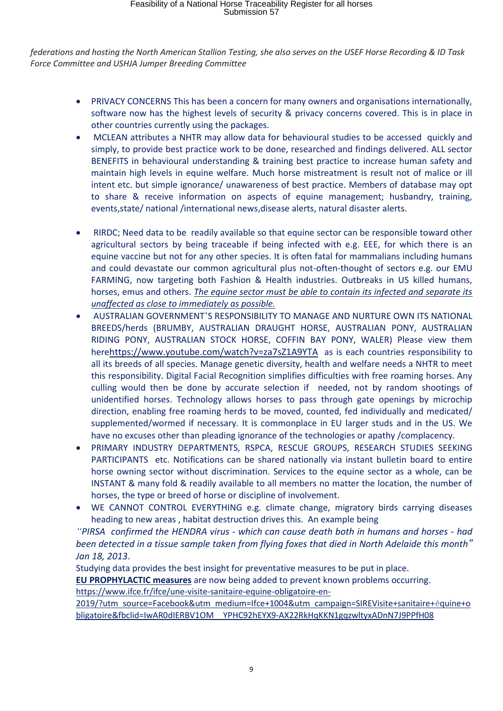*federations and hosting the North American Stallion Testing, she also serves on the USEF Horse Recording & ID Task Force Committee and USHJA Jumper Breeding Committee*

- PRIVACY CONCERNS This has been a concern for many owners and organisations internationally, software now has the highest levels of security & privacy concerns covered. This is in place in other countries currently using the packages.
- MCLEAN attributes a NHTR may allow data for behavioural studies to be accessed quickly and simply, to provide best practice work to be done, researched and findings delivered. ALL sector BENEFITS in behavioural understanding & training best practice to increase human safety and maintain high levels in equine welfare. Much horse mistreatment is result not of malice or ill intent etc. but simple ignorance/ unawareness of best practice. Members of database may opt to share & receive information on aspects of equine management; husbandry, training, events,state/ national /international news,disease alerts, natural disaster alerts.
- RIRDC; Need data to be readily available so that equine sector can be responsible toward other agricultural sectors by being traceable if being infected with e.g. EEE, for which there is an equine vaccine but not for any other species. It is often fatal for mammalians including humans and could devastate our common agricultural plus not-often-thought of sectors e.g. our EMU FARMING, now targeting both Fashion & Health industries. Outbreaks in US killed humans, horses, emus and others. *The equine sector must be able to contain its infected and separate its unaffected as close to immediately as possible.*
- AUSTRALIAN GOVERNMENT'S RESPONSIBILITY TO MANAGE AND NURTURE OWN ITS NATIONAL BREEDS/herds (BRUMBY, AUSTRALIAN DRAUGHT HORSE, AUSTRALIAN PONY, AUSTRALIAN RIDING PONY, AUSTRALIAN STOCK HORSE, COFFIN BAY PONY, WALER) Please view them herehttps://www.youtube.com/watch?v=za7sZ1A9YTA as is each countries responsibility to all its breeds of all species. Manage genetic diversity, health and welfare needs a NHTR to meet this responsibility. Digital Facial Recognition simplifies difficulties with free roaming horses. Any culling would then be done by accurate selection if needed, not by random shootings of unidentified horses. Technology allows horses to pass through gate openings by microchip direction, enabling free roaming herds to be moved, counted, fed individually and medicated/ supplemented/wormed if necessary. It is commonplace in EU larger studs and in the US. We have no excuses other than pleading ignorance of the technologies or apathy /complacency.
- PRIMARY INDUSTRY DEPARTMENTS, RSPCA, RESCUE GROUPS, RESEARCH STUDIES SEEKING PARTICIPANTS etc. Notifications can be shared nationally via instant bulletin board to entire horse owning sector without discrimination. Services to the equine sector as a whole, can be INSTANT & many fold & readily available to all members no matter the location, the number of horses, the type or breed of horse or discipline of involvement.
- WE CANNOT CONTROL EVERYTHING e.g. climate change, migratory birds carrying diseases heading to new areas , habitat destruction drives this. An example being

*"PIRSA confirmed the HENDRA virus - which can cause death both in humans and horses - had been detected in a tissue sample taken from flying foxes that died in North Adelaide this month" Jan 18, 2013*.

Studying data provides the best insight for preventative measures to be put in place. **EU PROPHYLACTIC measures** are now being added to prevent known problems occurring. https://www.ifce.fr/ifce/une-visite-sanitaire-equine-obligatoire-en-

2019/?utm source=Facebook&utm medium=Ifce+1004&utm campaign=SIREVisite+sanitaire+équine+o bligatoire&fbclid=IwAR0dIERBV1OM YPHC92hEYX9-AX22RkHqKKN1gqzwltyxADnN7J9PPfH08